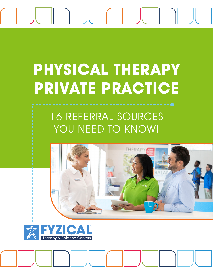

## **PHYSICAL THERAPY PRIVATE PRACTICE**

## 16 REFERRAL SOURCES YOU NEED TO KNOW!



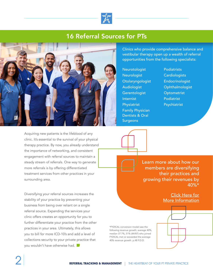

## 16 Referral Sources for PTs



Clinics who provide comprehensive balance and vestibular therapy open up a wealth of referral opportunities from the following specialists:

- Neurotologist **Neurologist Otolaryngologist** Audiologist **Gerentologist** Internist Physiatrist Family Physician Dentists & Oral **Surgeons**
- **Podiatrists Cardiologists** Endocrinologist **Ophthalmologist Optometrist** Podiatrist Psychiatrist

Acquiring new patients is the lifeblood of any clinic. It's essential to the survival of your physical therapy practice. By now, you already understand the importance of networking, and consistent engagement with referral sources to maintain a steady stream of referrals. One way to generate more referrals is by offering differentiated treatment services from other practices in your surrounding area.

Diversifying your referral sources increases the stability of your practice by preventing your business from being over reliant on a single referral source. Expanding the services your clinic offers creates an opportunity for you to further differentiate your practice from the other practices in your area. Ultimately, this allows you to bill for more ICD-10's and add a level of collections security to your private practice that you wouldn't have otherwise had.

Learn more about how our members are diversifying their practices and growing their revenues by  $40\%$ \*

> Click Here for [More Information](https://www.fyzicalfranchise.com/physical-therapy-referral-management)

\*FYZICAL conversion model saw the following revenue growth; average 40%, median 37.7%, 51% (44/87) who joined FYZICAL met or exceeded the average 40% revenue growth. p.48 F.D.D.